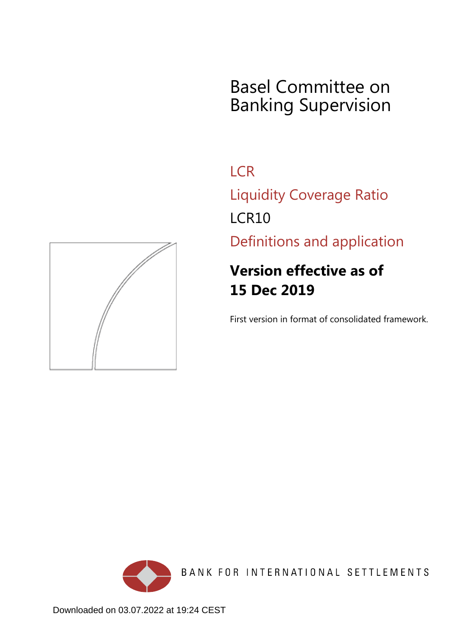# Basel Committee on Banking Supervision

**LCR** Liquidity Coverage Ratio LCR10

Definitions and application

# **Version effective as of 15 Dec 2019**

First version in format of consolidated framework.



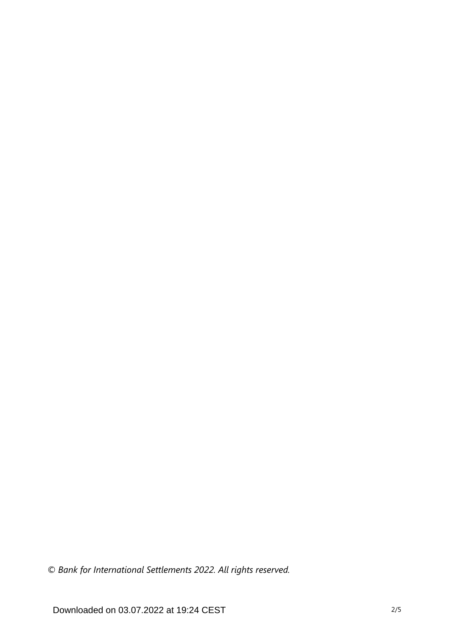*© Bank for International Settlements 2022. All rights reserved.*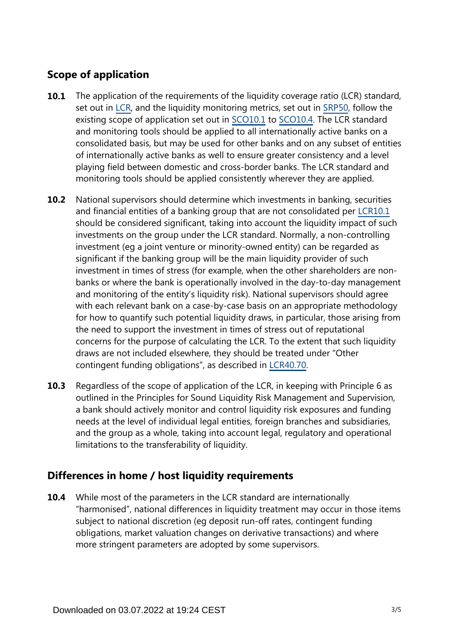# **Scope of application**

- The application of the requirements of the liquidity coverage ratio (LCR) standard, set out in [LCR](https://www.bis.org/basel_framework/standard/LCR.htm?tldate=20281012), and the liquidity monitoring metrics, set out in [SRP50,](https://www.bis.org/basel_framework/chapter/SRP/50.htm?tldate=20281012&inforce=20191215&published=20191215) follow the existing scope of application set out in [SCO10.1](https://www.bis.org/basel_framework/chapter/SCO/10.htm?tldate=20281012&inforce=20191215&published=20191215#paragraph_SCO_10_20191215_10_1) to [SCO10.4](https://www.bis.org/basel_framework/chapter/SCO/10.htm?tldate=20281012&inforce=20191215&published=20191215#paragraph_SCO_10_20191215_10_4). The LCR standard and monitoring tools should be applied to all internationally active banks on a consolidated basis, but may be used for other banks and on any subset of entities of internationally active banks as well to ensure greater consistency and a level playing field between domestic and cross-border banks. The LCR standard and monitoring tools should be applied consistently wherever they are applied. **10.1**
- National supervisors should determine which investments in banking, securities and financial entities of a banking group that are not consolidated per [LCR10.1](https://www.bis.org/basel_framework/chapter/LCR/10.htm?tldate=20281012&inforce=20191215&published=20191215#paragraph_LCR_10_20191215_10_1) should be considered significant, taking into account the liquidity impact of such investments on the group under the LCR standard. Normally, a non-controlling investment (eg a joint venture or minority-owned entity) can be regarded as significant if the banking group will be the main liquidity provider of such investment in times of stress (for example, when the other shareholders are nonbanks or where the bank is operationally involved in the day-to-day management and monitoring of the entity's liquidity risk). National supervisors should agree with each relevant bank on a case-by-case basis on an appropriate methodology for how to quantify such potential liquidity draws, in particular, those arising from the need to support the investment in times of stress out of reputational concerns for the purpose of calculating the LCR. To the extent that such liquidity draws are not included elsewhere, they should be treated under "Other contingent funding obligations", as described in [LCR40.70](https://www.bis.org/basel_framework/chapter/LCR/40.htm?tldate=20281012&inforce=20191215&published=20191215#paragraph_LCR_40_20191215_40_70). **10.2**
- Regardless of the scope of application of the LCR, in keeping with Principle 6 as outlined in the Principles for Sound Liquidity Risk Management and Supervision, a bank should actively monitor and control liquidity risk exposures and funding needs at the level of individual legal entities, foreign branches and subsidiaries, and the group as a whole, taking into account legal, regulatory and operational limitations to the transferability of liquidity. **10.3**

## **Differences in home / host liquidity requirements**

While most of the parameters in the LCR standard are internationally "harmonised", national differences in liquidity treatment may occur in those items subject to national discretion (eg deposit run-off rates, contingent funding obligations, market valuation changes on derivative transactions) and where more stringent parameters are adopted by some supervisors. **10.4**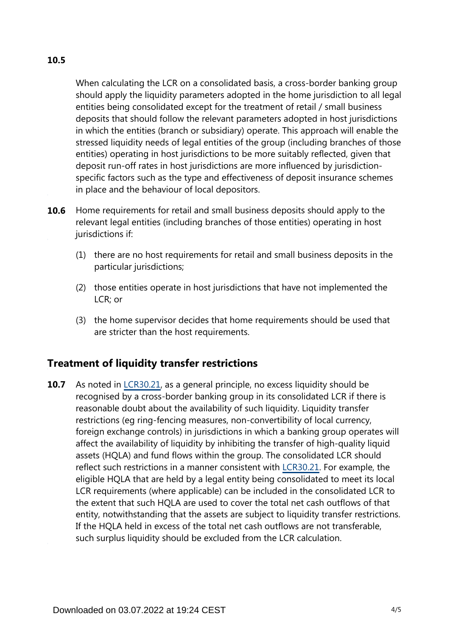# **10.5**

When calculating the LCR on a consolidated basis, a cross-border banking group should apply the liquidity parameters adopted in the home jurisdiction to all legal entities being consolidated except for the treatment of retail / small business deposits that should follow the relevant parameters adopted in host jurisdictions in which the entities (branch or subsidiary) operate. This approach will enable the stressed liquidity needs of legal entities of the group (including branches of those entities) operating in host jurisdictions to be more suitably reflected, given that deposit run-off rates in host jurisdictions are more influenced by jurisdictionspecific factors such as the type and effectiveness of deposit insurance schemes in place and the behaviour of local depositors.

- Home requirements for retail and small business deposits should apply to the relevant legal entities (including branches of those entities) operating in host jurisdictions if: **10.6**
	- (1) there are no host requirements for retail and small business deposits in the particular jurisdictions;
	- (2) those entities operate in host jurisdictions that have not implemented the LCR; or
	- (3) the home supervisor decides that home requirements should be used that are stricter than the host requirements.

## **Treatment of liquidity transfer restrictions**

As noted in [LCR30.21](https://www.bis.org/basel_framework/chapter/LCR/30.htm?tldate=20281012&inforce=20191215&published=20200605#paragraph_LCR_30_20191215_30_21), as a general principle, no excess liquidity should be recognised by a cross-border banking group in its consolidated LCR if there is reasonable doubt about the availability of such liquidity. Liquidity transfer restrictions (eg ring-fencing measures, non-convertibility of local currency, foreign exchange controls) in jurisdictions in which a banking group operates will affect the availability of liquidity by inhibiting the transfer of high-quality liquid assets (HQLA) and fund flows within the group. The consolidated LCR should reflect such restrictions in a manner consistent with [LCR30.21](https://www.bis.org/basel_framework/chapter/LCR/30.htm?tldate=20281012&inforce=20191215&published=20200605#paragraph_LCR_30_20191215_30_21). For example, the eligible HQLA that are held by a legal entity being consolidated to meet its local LCR requirements (where applicable) can be included in the consolidated LCR to the extent that such HQLA are used to cover the total net cash outflows of that entity, notwithstanding that the assets are subject to liquidity transfer restrictions. If the HQLA held in excess of the total net cash outflows are not transferable, such surplus liquidity should be excluded from the LCR calculation. **10.7**